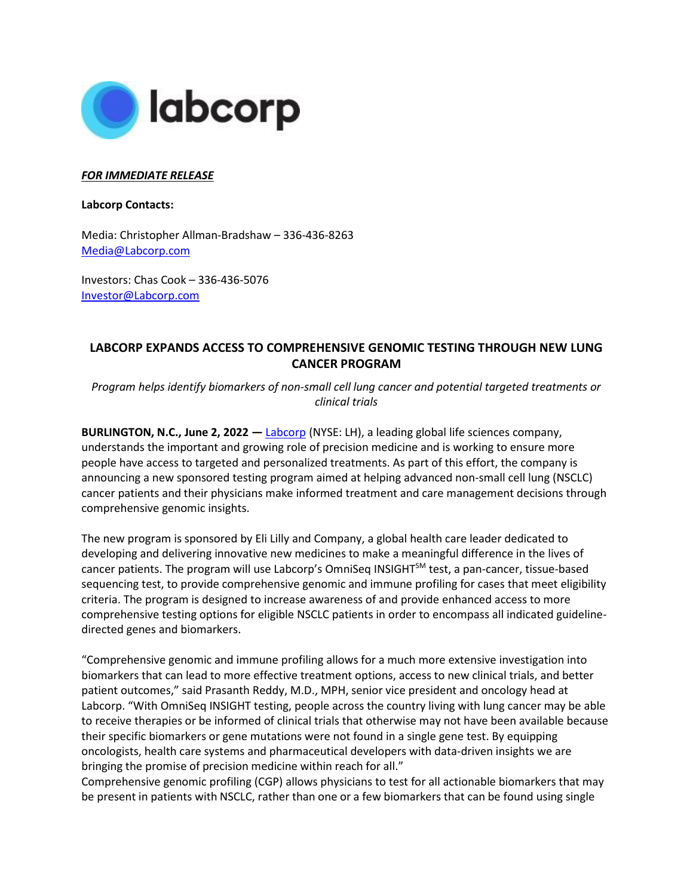

## *FOR IMMEDIATE RELEASE*

**Labcorp Contacts:**

Media: Christopher Allman-Bradshaw – 336-436-8263 [Media@Labcorp.com](mailto:Media@Labcorp.com)

Investors: Chas Cook – 336-436-5076 [Investor@Labcorp.com](mailto:Investor@Labcorp.com)

## **LABCORP EXPANDS ACCESS TO COMPREHENSIVE GENOMIC TESTING THROUGH NEW LUNG CANCER PROGRAM**

*Program helps identify biomarkers of non-small cell lung cancer and potential targeted treatments or clinical trials*

**BURLINGTON, N.C., June 2, 2022 —** [Labcorp](https://www.labcorp.com/) (NYSE: LH), a leading global life sciences company, understands the important and growing role of precision medicine and is working to ensure more people have access to targeted and personalized treatments. As part of this effort, the company is announcing a new sponsored testing program aimed at helping advanced non-small cell lung (NSCLC) cancer patients and their physicians make informed treatment and care management decisions through comprehensive genomic insights.

The new program is sponsored by Eli Lilly and Company, a global health care leader dedicated to developing and delivering innovative new medicines to make a meaningful difference in the lives of cancer patients. The program will use Labcorp's OmniSeq INSIGHT<sup>SM</sup> test, a pan-cancer, tissue-based sequencing test, to provide comprehensive genomic and immune profiling for cases that meet eligibility criteria. The program is designed to increase awareness of and provide enhanced access to more comprehensive testing options for eligible NSCLC patients in order to encompass all indicated guidelinedirected genes and biomarkers.

"Comprehensive genomic and immune profiling allows for a much more extensive investigation into biomarkers that can lead to more effective treatment options, access to new clinical trials, and better patient outcomes," said Prasanth Reddy, M.D., MPH, senior vice president and oncology head at Labcorp. "With OmniSeq INSIGHT testing, people across the country living with lung cancer may be able to receive therapies or be informed of clinical trials that otherwise may not have been available because their specific biomarkers or gene mutations were not found in a single gene test. By equipping oncologists, health care systems and pharmaceutical developers with data-driven insights we are bringing the promise of precision medicine within reach for all."

Comprehensive genomic profiling (CGP) allows physicians to test for all actionable biomarkers that may be present in patients with NSCLC, rather than one or a few biomarkers that can be found using single